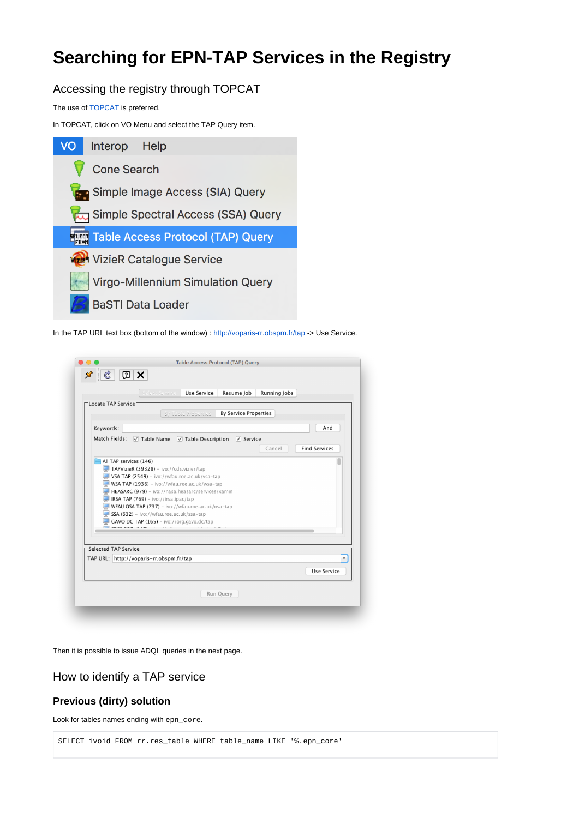# **Searching for EPN-TAP Services in the Registry**

Accessing the registry through TOPCAT

The use of [TOPCAT](http://www.star.bris.ac.uk/~mbt/topcat/) is preferred.

In TOPCAT, click on VO Menu and select the TAP Query item.



In the TAP URL text box (bottom of the window) : <http://voparis-rr.obspm.fr/tap>-> Use Service.

|                                         | By Table Properties                                                                       | <b>By Service Properties</b> |        |                      |
|-----------------------------------------|-------------------------------------------------------------------------------------------|------------------------------|--------|----------------------|
| Keywords:                               |                                                                                           |                              |        | And                  |
| Match Fields:                           | $\vee$ Table Name $\vee$ Table Description                                                | $\vee$ Service               |        |                      |
|                                         |                                                                                           |                              | Cancel | <b>Find Services</b> |
| All TAP services (146)                  |                                                                                           |                              |        |                      |
|                                         | TAPVizieR (39328) - ivo://cds.vizier/tap<br>VSA TAP (2549) - ivo://wfau.roe.ac.uk/vsa-tap |                              |        |                      |
|                                         | $WSA$ TAP (1936) - ivo://wfau.roe.ac.uk/wsa-tap                                           |                              |        |                      |
|                                         | HEASARC (979) - ivo://nasa.heasarc/services/xamin                                         |                              |        |                      |
|                                         | IRSA TAP (769) - ivo://irsa.ipac/tap                                                      |                              |        |                      |
|                                         | WFAU OSA TAP (737) - ivo://wfau.roe.ac.uk/osa-tap                                         |                              |        |                      |
|                                         | SSA (632) - ivo://wfau.roe.ac.uk/ssa-tap                                                  |                              |        |                      |
|                                         | $\Box$ GAVO DC TAP (165) – ivo://org.gavo.dc/tap                                          |                              |        |                      |
|                                         |                                                                                           |                              |        |                      |
|                                         |                                                                                           |                              |        |                      |
|                                         |                                                                                           |                              |        |                      |
| Selected TAP Service <sup>-</sup>       |                                                                                           |                              |        |                      |
| TAP URL: http://voparis-rr.obspm.fr/tap |                                                                                           |                              |        |                      |

Then it is possible to issue ADQL queries in the next page.

# How to identify a TAP service

# **Previous (dirty) solution**

Look for tables names ending with epn\_core.

SELECT ivoid FROM rr.res\_table WHERE table\_name LIKE '%.epn\_core'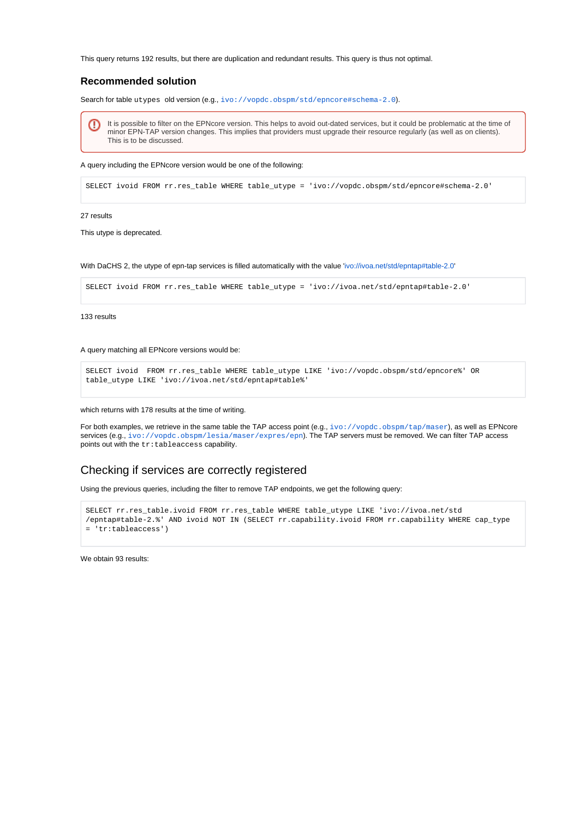This query returns 192 results, but there are duplication and redundant results. This query is thus not optimal.

## **Recommended solution**

Search for table utypes old version (e.g., <ivo://vopdc.obspm/std/epncore#schema-2.0>).

It is possible to filter on the EPNcore version. This helps to avoid out-dated services, but it could be problematic at the time of minor EPN-TAP version changes. This implies that providers must upgrade their resource regularly (as well as on clients). This is to be discussed.

A query including the EPNcore version would be one of the following:

SELECT ivoid FROM rr.res\_table WHERE table\_utype = 'ivo://vopdc.obspm/std/epncore#schema-2.0'

#### 27 results

This utype is deprecated.

With DaCHS 2, the utype of epn-tap services is filled automatically with the value '<ivo://ivoa.net/std/epntap#table-2.0>'

SELECT ivoid FROM rr.res\_table WHERE table\_utype = 'ivo://ivoa.net/std/epntap#table-2.0'

133 results

#### A query matching all EPNcore versions would be:

SELECT ivoid FROM rr.res\_table WHERE table\_utype LIKE 'ivo://vopdc.obspm/std/epncore%' OR table\_utype LIKE 'ivo://ivoa.net/std/epntap#table%'

#### which returns with 178 results at the time of writing.

For both examples, we retrieve in the same table the TAP access point (e.g., <ivo://vopdc.obspm/tap/maser>), as well as EPNcore services (e.g., <ivo://vopdc.obspm/lesia/maser/expres/epn>). The TAP servers must be removed. We can filter TAP access points out with the tr:tableaccess capability.

## Checking if services are correctly registered

Using the previous queries, including the filter to remove TAP endpoints, we get the following query:

```
SELECT rr.res_table.ivoid FROM rr.res_table WHERE table_utype LIKE 'ivo://ivoa.net/std
/epntap#table-2.%' AND ivoid NOT IN (SELECT rr.capability.ivoid FROM rr.capability WHERE cap_type 
= 'tr:tableaccess')
```
We obtain 93 results: